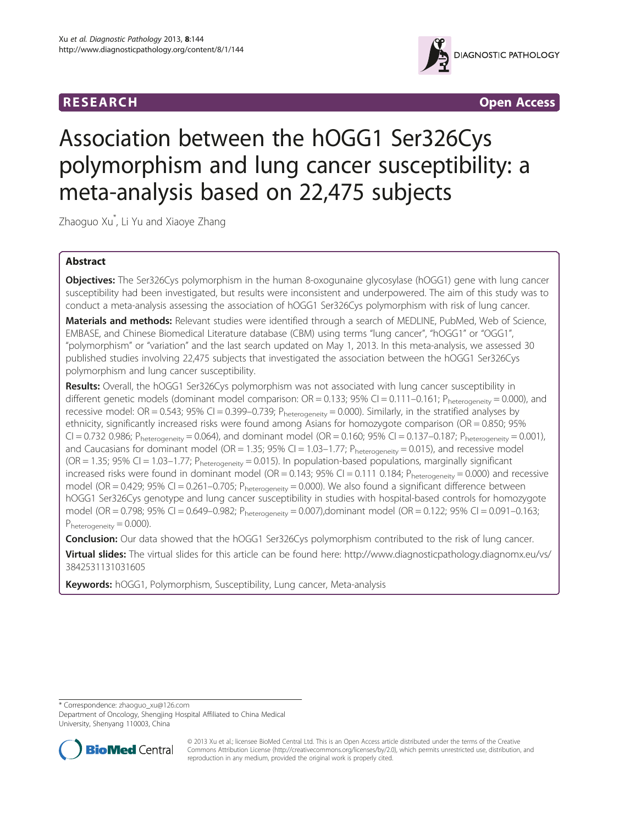



# Association between the hOGG1 Ser326Cys polymorphism and lung cancer susceptibility: a meta-analysis based on 22,475 subjects

Zhaoguo Xu\* , Li Yu and Xiaoye Zhang

# Abstract

Objectives: The Ser326Cys polymorphism in the human 8-oxogunaine glycosylase (hOGG1) gene with lung cancer susceptibility had been investigated, but results were inconsistent and underpowered. The aim of this study was to conduct a meta-analysis assessing the association of hOGG1 Ser326Cys polymorphism with risk of lung cancer.

Materials and methods: Relevant studies were identified through a search of MEDLINE, PubMed, Web of Science, EMBASE, and Chinese Biomedical Literature database (CBM) using terms "lung cancer", "hOGG1" or "OGG1", "polymorphism" or "variation" and the last search updated on May 1, 2013. In this meta-analysis, we assessed 30 published studies involving 22,475 subjects that investigated the association between the hOGG1 Ser326Cys polymorphism and lung cancer susceptibility.

Results: Overall, the hOGG1 Ser326Cys polymorphism was not associated with lung cancer susceptibility in different genetic models (dominant model comparison:  $OR = 0.133$ ;  $95\%$  CI = 0.111-0.161; Pheterogeneity = 0.000), and recessive model: OR = 0.543; 95% CI = 0.399-0.739; Pheterogeneity = 0.000). Similarly, in the stratified analyses by ethnicity, significantly increased risks were found among Asians for homozygote comparison (OR = 0.850; 95%  $CI = 0.732$  0.986; Pheterogeneity = 0.064), and dominant model (OR = 0.160; 95% CI = 0.137-0.187; Pheterogeneity = 0.001), and Caucasians for dominant model (OR = 1.35; 95% CI = 1.03-1.77;  $P_{heterogeneity} = 0.015$ ), and recessive model  $(OR = 1.35; 95% CI = 1.03-1.77; P<sub>heterogeneity</sub> = 0.015)$ . In population-based populations, marginally significant increased risks were found in dominant model (OR = 0.143; 95% CI = 0.111 0.184; Pheterogeneity = 0.000) and recessive model (OR = 0.429; 95% CI = 0.261-0.705;  $P_{heterogeneity}$  = 0.000). We also found a significant difference between hOGG1 Ser326Cys genotype and lung cancer susceptibility in studies with hospital-based controls for homozygote model (OR = 0.798; 95% CI = 0.649–0.982; Pheterogeneity = 0.007),dominant model (OR = 0.122; 95% CI = 0.091–0.163;  $P_{heterogeneity} = 0.000$ ).

**Conclusion:** Our data showed that the hOGG1 Ser326Cys polymorphism contributed to the risk of lung cancer. Virtual slides: The virtual slides for this article can be found here: [http://www.diagnosticpathology.diagnomx.eu/vs/](http://www.diagnosticpathology.diagnomx.eu/vs/3842531131031605) [3842531131031605](http://www.diagnosticpathology.diagnomx.eu/vs/3842531131031605)

Keywords: hOGG1, Polymorphism, Susceptibility, Lung cancer, Meta-analysis

\* Correspondence: [zhaoguo\\_xu@126.com](mailto:zhaoguo_xu@126.com)

Department of Oncology, Shengjing Hospital Affiliated to China Medical University, Shenyang 110003, China



© 2013 Xu et al.; licensee BioMed Central Ltd. This is an Open Access article distributed under the terms of the Creative Commons Attribution License [\(http://creativecommons.org/licenses/by/2.0\)](http://creativecommons.org/licenses/by/2.0), which permits unrestricted use, distribution, and reproduction in any medium, provided the original work is properly cited.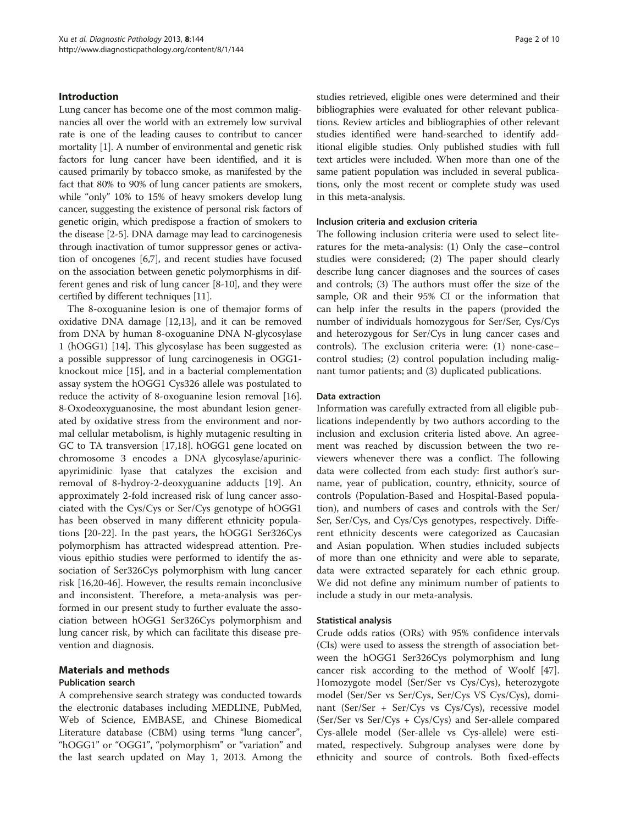## Introduction

Lung cancer has become one of the most common malignancies all over the world with an extremely low survival rate is one of the leading causes to contribut to cancer mortality [\[1\]](#page-7-0). A number of environmental and genetic risk factors for lung cancer have been identified, and it is caused primarily by tobacco smoke, as manifested by the fact that 80% to 90% of lung cancer patients are smokers, while "only" 10% to 15% of heavy smokers develop lung cancer, suggesting the existence of personal risk factors of genetic origin, which predispose a fraction of smokers to the disease [[2](#page-7-0)[-5\]](#page-8-0). DNA damage may lead to carcinogenesis through inactivation of tumor suppressor genes or activation of oncogenes [\[6,7](#page-8-0)], and recent studies have focused on the association between genetic polymorphisms in different genes and risk of lung cancer [[8-10\]](#page-8-0), and they were certified by different techniques [\[11\]](#page-8-0).

The 8-oxoguanine lesion is one of themajor forms of oxidative DNA damage [\[12,13\]](#page-8-0), and it can be removed from DNA by human 8-oxoguanine DNA N-glycosylase 1 (hOGG1) [[14](#page-8-0)]. This glycosylase has been suggested as a possible suppressor of lung carcinogenesis in OGG1 knockout mice [[15](#page-8-0)], and in a bacterial complementation assay system the hOGG1 Cys326 allele was postulated to reduce the activity of 8-oxoguanine lesion removal [\[16](#page-8-0)]. 8-Oxodeoxyguanosine, the most abundant lesion generated by oxidative stress from the environment and normal cellular metabolism, is highly mutagenic resulting in GC to TA transversion [[17](#page-8-0),[18](#page-8-0)]. hOGG1 gene located on chromosome 3 encodes a DNA glycosylase/apurinicapyrimidinic lyase that catalyzes the excision and removal of 8-hydroy-2-deoxyguanine adducts [[19\]](#page-8-0). An approximately 2-fold increased risk of lung cancer associated with the Cys/Cys or Ser/Cys genotype of hOGG1 has been observed in many different ethnicity populations [\[20-22](#page-8-0)]. In the past years, the hOGG1 Ser326Cys polymorphism has attracted widespread attention. Previous epithio studies were performed to identify the association of Ser326Cys polymorphism with lung cancer risk [[16,20-46\]](#page-8-0). However, the results remain inconclusive and inconsistent. Therefore, a meta-analysis was performed in our present study to further evaluate the association between hOGG1 Ser326Cys polymorphism and lung cancer risk, by which can facilitate this disease prevention and diagnosis.

## Materials and methods

#### Publication search

A comprehensive search strategy was conducted towards the electronic databases including MEDLINE, PubMed, Web of Science, EMBASE, and Chinese Biomedical Literature database (CBM) using terms "lung cancer", "hOGG1" or "OGG1", "polymorphism" or "variation" and the last search updated on May 1, 2013. Among the

studies retrieved, eligible ones were determined and their bibliographies were evaluated for other relevant publications. Review articles and bibliographies of other relevant studies identified were hand-searched to identify additional eligible studies. Only published studies with full text articles were included. When more than one of the same patient population was included in several publications, only the most recent or complete study was used in this meta-analysis.

#### Inclusion criteria and exclusion criteria

The following inclusion criteria were used to select literatures for the meta-analysis: (1) Only the case–control studies were considered; (2) The paper should clearly describe lung cancer diagnoses and the sources of cases and controls; (3) The authors must offer the size of the sample, OR and their 95% CI or the information that can help infer the results in the papers (provided the number of individuals homozygous for Ser/Ser, Cys/Cys and heterozygous for Ser/Cys in lung cancer cases and controls). The exclusion criteria were: (1) none-case– control studies; (2) control population including malignant tumor patients; and (3) duplicated publications.

#### Data extraction

Information was carefully extracted from all eligible publications independently by two authors according to the inclusion and exclusion criteria listed above. An agreement was reached by discussion between the two reviewers whenever there was a conflict. The following data were collected from each study: first author's surname, year of publication, country, ethnicity, source of controls (Population-Based and Hospital-Based population), and numbers of cases and controls with the Ser/ Ser, Ser/Cys, and Cys/Cys genotypes, respectively. Different ethnicity descents were categorized as Caucasian and Asian population. When studies included subjects of more than one ethnicity and were able to separate, data were extracted separately for each ethnic group. We did not define any minimum number of patients to include a study in our meta-analysis.

## Statistical analysis

Crude odds ratios (ORs) with 95% confidence intervals (CIs) were used to assess the strength of association between the hOGG1 Ser326Cys polymorphism and lung cancer risk according to the method of Woolf [\[47](#page-8-0)]. Homozygote model (Ser/Ser vs Cys/Cys), heterozygote model (Ser/Ser vs Ser/Cys, Ser/Cys VS Cys/Cys), dominant (Ser/Ser + Ser/Cys vs Cys/Cys), recessive model (Ser/Ser vs Ser/Cys + Cys/Cys) and Ser-allele compared Cys-allele model (Ser-allele vs Cys-allele) were estimated, respectively. Subgroup analyses were done by ethnicity and source of controls. Both fixed-effects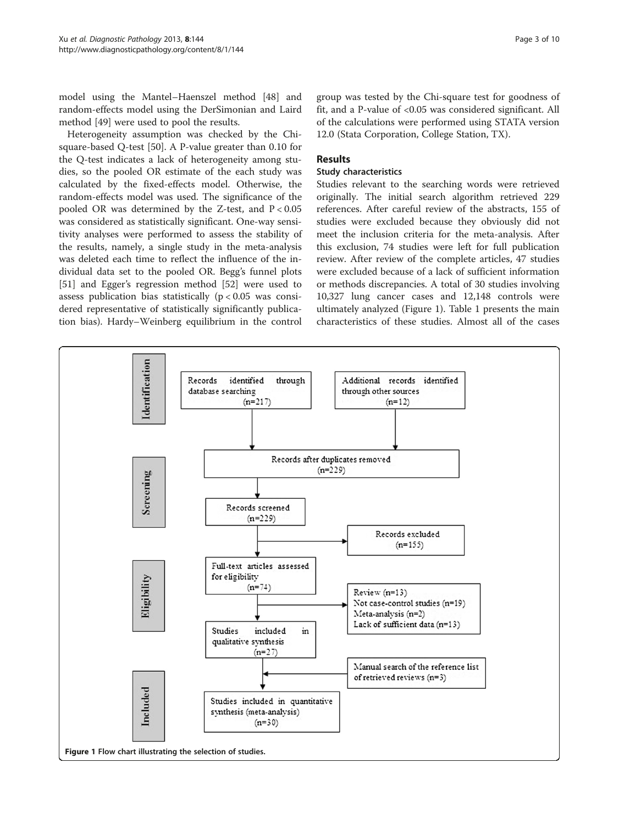Heterogeneity assumption was checked by the Chisquare-based Q-test [\[50\]](#page-9-0). A P-value greater than 0.10 for the Q-test indicates a lack of heterogeneity among studies, so the pooled OR estimate of the each study was calculated by the fixed-effects model. Otherwise, the random-effects model was used. The significance of the pooled OR was determined by the Z-test, and  $P < 0.05$ was considered as statistically significant. One-way sensitivity analyses were performed to assess the stability of the results, namely, a single study in the meta-analysis was deleted each time to reflect the influence of the individual data set to the pooled OR. Begg's funnel plots [[51\]](#page-9-0) and Egger's regression method [[52](#page-9-0)] were used to assess publication bias statistically  $(p < 0.05$  was considered representative of statistically significantly publication bias). Hardy–Weinberg equilibrium in the control group was tested by the Chi-square test for goodness of fit, and a P-value of <0.05 was considered significant. All of the calculations were performed using STATA version 12.0 (Stata Corporation, College Station, TX).

## Results

### Study characteristics

Studies relevant to the searching words were retrieved originally. The initial search algorithm retrieved 229 references. After careful review of the abstracts, 155 of studies were excluded because they obviously did not meet the inclusion criteria for the meta-analysis. After this exclusion, 74 studies were left for full publication review. After review of the complete articles, 47 studies were excluded because of a lack of sufficient information or methods discrepancies. A total of 30 studies involving 10,327 lung cancer cases and 12,148 controls were ultimately analyzed (Figure 1). Table [1](#page-3-0) presents the main characteristics of these studies. Almost all of the cases

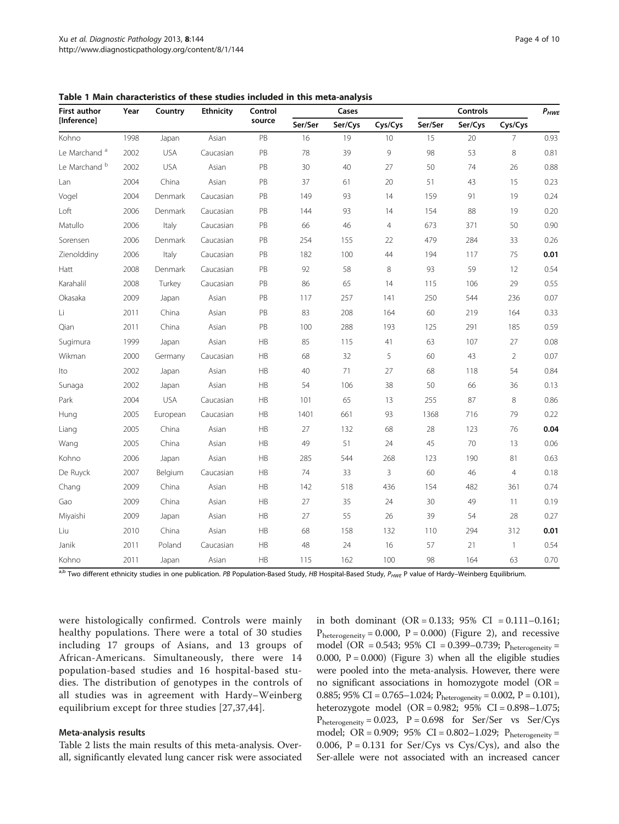| <b>First author</b><br>[Inference] | Year | Country    | <b>Ethnicity</b> | Control<br>source | Cases   |         |                | <b>Controls</b> |         |                | $P_{HWE}$ |
|------------------------------------|------|------------|------------------|-------------------|---------|---------|----------------|-----------------|---------|----------------|-----------|
|                                    |      |            |                  |                   | Ser/Ser | Ser/Cys | Cys/Cys        | Ser/Ser         | Ser/Cys | Cys/Cys        |           |
| Kohno                              | 1998 | Japan      | Asian            | PB                | 16      | 19      | 10             | 15              | 20      | $\overline{7}$ | 0.93      |
| Le Marchand <sup>a</sup>           | 2002 | <b>USA</b> | Caucasian        | PB                | 78      | 39      | 9              | 98              | 53      | 8              | 0.81      |
| Le Marchand <sup>b</sup>           | 2002 | <b>USA</b> | Asian            | PB                | 30      | 40      | 27             | 50              | 74      | 26             | 0.88      |
| Lan                                | 2004 | China      | Asian            | PB                | 37      | 61      | 20             | 51              | 43      | 15             | 0.23      |
| Vogel                              | 2004 | Denmark    | Caucasian        | PB                | 149     | 93      | 14             | 159             | 91      | 19             | 0.24      |
| Loft                               | 2006 | Denmark    | Caucasian        | PB                | 144     | 93      | 14             | 154             | 88      | 19             | 0.20      |
| Matullo                            | 2006 | Italy      | Caucasian        | PB                | 66      | 46      | $\overline{4}$ | 673             | 371     | 50             | 0.90      |
| Sorensen                           | 2006 | Denmark    | Caucasian        | PB                | 254     | 155     | 22             | 479             | 284     | 33             | 0.26      |
| Zienolddiny                        | 2006 | Italy      | Caucasian        | PB                | 182     | 100     | 44             | 194             | 117     | 75             | 0.01      |
| Hatt                               | 2008 | Denmark    | Caucasian        | PB                | 92      | 58      | 8              | 93              | 59      | 12             | 0.54      |
| Karahalil                          | 2008 | Turkey     | Caucasian        | PB                | 86      | 65      | 14             | 115             | 106     | 29             | 0.55      |
| Okasaka                            | 2009 | Japan      | Asian            | PB                | 117     | 257     | 141            | 250             | 544     | 236            | 0.07      |
| Li                                 | 2011 | China      | Asian            | PB                | 83      | 208     | 164            | 60              | 219     | 164            | 0.33      |
| Qian                               | 2011 | China      | Asian            | PB                | 100     | 288     | 193            | 125             | 291     | 185            | 0.59      |
| Sugimura                           | 1999 | Japan      | Asian            | HB                | 85      | 115     | 41             | 63              | 107     | 27             | 0.08      |
| Wikman                             | 2000 | Germany    | Caucasian        | HB                | 68      | 32      | 5              | 60              | 43      | $\overline{2}$ | 0.07      |
| Ito                                | 2002 | Japan      | Asian            | HB                | 40      | 71      | 27             | 68              | 118     | 54             | 0.84      |
| Sunaga                             | 2002 | Japan      | Asian            | HB                | 54      | 106     | 38             | 50              | 66      | 36             | 0.13      |
| Park                               | 2004 | <b>USA</b> | Caucasian        | <b>HB</b>         | 101     | 65      | 13             | 255             | 87      | 8              | 0.86      |
| Hung                               | 2005 | European   | Caucasian        | HB                | 1401    | 661     | 93             | 1368            | 716     | 79             | 0.22      |
| Liang                              | 2005 | China      | Asian            | HB                | 27      | 132     | 68             | 28              | 123     | 76             | 0.04      |
| Wang                               | 2005 | China      | Asian            | HB                | 49      | 51      | 24             | 45              | 70      | 13             | 0.06      |
| Kohno                              | 2006 | Japan      | Asian            | HB                | 285     | 544     | 268            | 123             | 190     | 81             | 0.63      |
| De Ruyck                           | 2007 | Belgium    | Caucasian        | <b>HB</b>         | 74      | 33      | 3              | 60              | 46      | $\overline{4}$ | 0.18      |
| Chang                              | 2009 | China      | Asian            | HB                | 142     | 518     | 436            | 154             | 482     | 361            | 0.74      |
| Gao                                | 2009 | China      | Asian            | HB                | 27      | 35      | 24             | 30              | 49      | 11             | 0.19      |
| Miyaishi                           | 2009 | Japan      | Asian            | HB                | 27      | 55      | 26             | 39              | 54      | 28             | 0.27      |
| Liu                                | 2010 | China      | Asian            | HB                | 68      | 158     | 132            | 110             | 294     | 312            | 0.01      |
| Janik                              | 2011 | Poland     | Caucasian        | HB                | 48      | 24      | 16             | 57              | 21      | $\mathbf{1}$   | 0.54      |
| Kohno                              | 2011 | Japan      | Asian            | <b>HB</b>         | 115     | 162     | 100            | 98              | 164     | 63             | 0.70      |

<span id="page-3-0"></span>Table 1 Main characteristics of these studies included in this meta-analysis

a,b Two different ethnicity studies in one publication. PB Population-Based Study, HB Hospital-Based Study, P<sub>HWE</sub> P value of Hardy–Weinberg Equilibrium.

were histologically confirmed. Controls were mainly healthy populations. There were a total of 30 studies including 17 groups of Asians, and 13 groups of African-Americans. Simultaneously, there were 14 population-based studies and 16 hospital-based studies. The distribution of genotypes in the controls of all studies was in agreement with Hardy–Weinberg equilibrium except for three studies [[27,37,44](#page-8-0)].

#### Meta-analysis results

Table [2](#page-4-0) lists the main results of this meta-analysis. Overall, significantly elevated lung cancer risk were associated in both dominant (OR = 0.133;  $95\%$  CI = 0.111-0.161;  $P_{heterogeneity} = 0.000$ ,  $P = 0.000$ ) (Figure [2\)](#page-5-0), and recessive model (OR = 0.543; 95% CI = 0.399–0.739;  $P_{heterogeneity}$  = 0.000,  $P = 0.000$ ) (Figure [3\)](#page-6-0) when all the eligible studies were pooled into the meta-analysis. However, there were no significant associations in homozygote model (OR = 0.885; 95% CI = 0.765–1.024;  $P_{heterogeneity} = 0.002$ ,  $P = 0.101$ ), heterozygote model (OR = 0.982; 95% CI = 0.898–1.075;  $P_{heterogeneity} = 0.023$ ,  $P = 0.698$  for Ser/Ser vs Ser/Cys model; OR = 0.909; 95% CI = 0.802-1.029;  $P_{heterogeneity} =$ 0.006,  $P = 0.131$  for Ser/Cys vs Cys/Cys), and also the Ser-allele were not associated with an increased cancer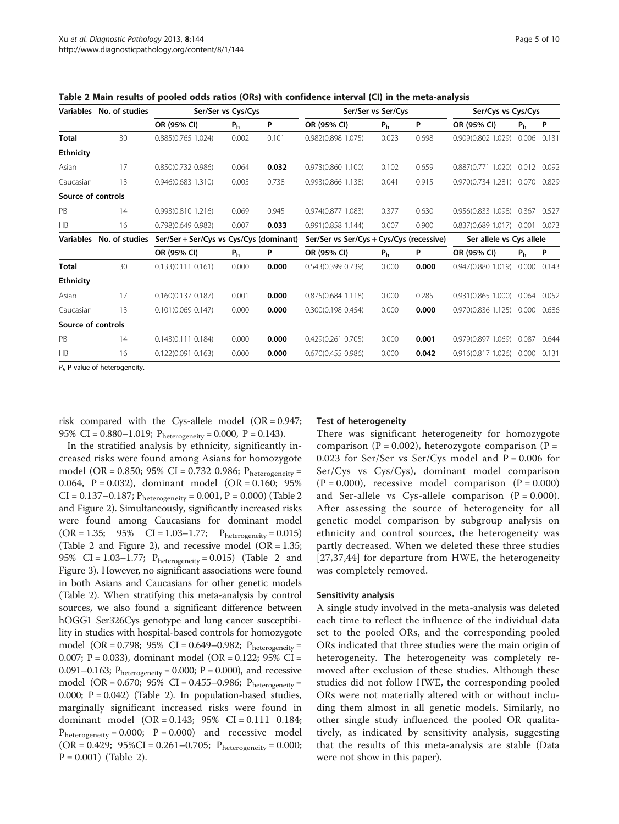|                    | Variables No. of studies                                                       |                                         | Ser/Ser vs Cys/Cys |       | Ser/Ser vs Ser/Cys                       |                |       | Ser/Cys vs Cys/Cys             |                |       |
|--------------------|--------------------------------------------------------------------------------|-----------------------------------------|--------------------|-------|------------------------------------------|----------------|-------|--------------------------------|----------------|-------|
|                    |                                                                                | OR (95% CI)                             | P <sub>h</sub>     | P     | OR (95% CI)                              | P <sub>h</sub> | P     | OR (95% CI)                    | P <sub>h</sub> | P     |
| <b>Total</b>       | 30                                                                             | 0.885(0.765 1.024)                      | 0.002              | 0.101 | 0.982(0.898 1.075)                       | 0.023          | 0.698 | 0.909(0.802 1.029)             | 0.006          | 0.131 |
| <b>Ethnicity</b>   |                                                                                |                                         |                    |       |                                          |                |       |                                |                |       |
| Asian              | 17                                                                             | 0.850(0.732 0.986)                      | 0.064              | 0.032 | 0.973(0.860 1.100)                       | 0.102          | 0.659 | 0.887(0.771)1.020              | 0.012          | 0.092 |
| Caucasian          | 13                                                                             | 0.946(0.683 1.310)                      | 0.005              | 0.738 | 0.993(0.866 1.138)                       | 0.041          | 0.915 | 0.970(0.734 1.281) 0.070 0.829 |                |       |
| Source of controls |                                                                                |                                         |                    |       |                                          |                |       |                                |                |       |
| PB                 | 14                                                                             | 0.993(0.810 1.216)                      | 0.069              | 0.945 | 0.974(0.877 1.083)                       | 0.377          | 0.630 | 0.956(0.833 1.098)             | 0.367          | 0.527 |
| HB                 | 16                                                                             | 0.798(0.649 0.982)                      | 0.007              | 0.033 | 0.991(0.858 1.144)                       | 0.007          | 0.900 | 0.837(0.689 1.017)             | 0.001 0.073    |       |
| <b>Variables</b>   | No. of studies                                                                 | Ser/Ser + Ser/Cys vs Cys/Cys (dominant) |                    |       | Ser/Ser vs Ser/Cys + Cys/Cys (recessive) |                |       | Ser allele vs Cys allele       |                |       |
|                    |                                                                                | OR (95% CI)                             | P <sub>h</sub>     | P     | OR (95% CI)                              | P <sub>h</sub> | P     | OR (95% CI)                    | P <sub>h</sub> | P     |
| <b>Total</b>       | 30                                                                             | 0.133(0.111 0.161)                      | 0.000              | 0.000 | 0.543(0.399 0.739)                       | 0.000          | 0.000 | 0.947(0.8801.019)              | 0.000          | 0.143 |
| <b>Ethnicity</b>   |                                                                                |                                         |                    |       |                                          |                |       |                                |                |       |
| Asian              | 17                                                                             | 0.160(0.1370.187)                       | 0.001              | 0.000 | 0.875(0.684 1.118)                       | 0.000          | 0.285 | 0.931(0.865 1.000)             | 0.064          | 0.052 |
| Caucasian          | 13                                                                             | 0.101(0.0690.147)                       | 0.000              | 0.000 | 0.300(0.198 0.454)                       | 0.000          | 0.000 | 0.970(0.836 1.125)             | 0.000          | 0.686 |
| Source of controls |                                                                                |                                         |                    |       |                                          |                |       |                                |                |       |
| PB                 | 14                                                                             | 0.143(0.111 0.184)                      | 0.000              | 0.000 | 0.429(0.261 0.705)                       | 0.000          | 0.001 | 0.979(0.897 1.069)             | 0.087          | 0.644 |
| HR                 | 16                                                                             | 0.122(0.091 0.163)                      | 0.000              | 0.000 | 0.670(0.455 0.986)                       | 0.000          | 0.042 | 0.916(0.8171.026)              | 0.000          | 0.131 |
|                    | $D = D \cdot \text{m}$ and $E = D \cdot \text{m}$ and $E = D \cdot \text{m}$ . |                                         |                    |       |                                          |                |       |                                |                |       |

<span id="page-4-0"></span>Table 2 Main results of pooled odds ratios (ORs) with confidence interval (CI) in the meta-analysis

 $P_h$  P value of heterogeneity.

risk compared with the Cys-allele model (OR = 0.947; 95% CI = 0.880–1.019;  $P_{heterogeneity} = 0.000$ ,  $P = 0.143$ ).

In the stratified analysis by ethnicity, significantly increased risks were found among Asians for homozygote model (OR = 0.850; 95% CI = 0.732 0.986;  $P_{heterogeneity}$  = 0.064, P = 0.032), dominant model (OR = 0.160; 95%  $CI = 0.137 - 0.187$ ;  $P_{heterogeneity} = 0.001$ ,  $P = 0.000$ ) (Table 2 and Figure [2](#page-5-0)). Simultaneously, significantly increased risks were found among Caucasians for dominant model  $(OR = 1.35; 95\% \text{ CI} = 1.03-1.77; P_{heterogeneity} = 0.015)$ (Table [2](#page-5-0) and Figure 2), and recessive model ( $OR = 1.35$ ; 95% CI =  $1.03-1.77$ ;  $P_{heterogeneity} = 0.015$ ) (Table 2 and Figure [3\)](#page-6-0). However, no significant associations were found in both Asians and Caucasians for other genetic models (Table 2). When stratifying this meta-analysis by control sources, we also found a significant difference between hOGG1 Ser326Cys genotype and lung cancer susceptibility in studies with hospital-based controls for homozygote model (OR = 0.798; 95% CI = 0.649–0.982;  $P_{heterogeneity}$  = 0.007; P = 0.033), dominant model (OR = 0.122; 95% CI = 0.091–0.163;  $P_{heterogeneity} = 0.000$ ;  $P = 0.000$ ), and recessive model (OR = 0.670; 95% CI = 0.455–0.986;  $P_{heterogeneity}$  = 0.000;  $P = 0.042$ ) (Table 2). In population-based studies, marginally significant increased risks were found in dominant model (OR = 0.143; 95% CI = 0.111 0.184;  $P_{heterogeneity} = 0.000; P = 0.000$  and recessive model  $(OR = 0.429; 95\% CI = 0.261 - 0.705; P<sub>heterogeneity</sub> = 0.000;$  $P = 0.001$ ) (Table 2).

#### Test of heterogeneity

There was significant heterogeneity for homozygote comparison ( $P = 0.002$ ), heterozygote comparison ( $P =$ 0.023 for Ser/Ser vs Ser/Cys model and  $P = 0.006$  for Ser/Cys vs Cys/Cys), dominant model comparison  $(P = 0.000)$ , recessive model comparison  $(P = 0.000)$ and Ser-allele vs Cys-allele comparison  $(P = 0.000)$ . After assessing the source of heterogeneity for all genetic model comparison by subgroup analysis on ethnicity and control sources, the heterogeneity was partly decreased. When we deleted these three studies [[27](#page-8-0),[37,44](#page-8-0)] for departure from HWE, the heterogeneity was completely removed.

#### Sensitivity analysis

A single study involved in the meta-analysis was deleted each time to reflect the influence of the individual data set to the pooled ORs, and the corresponding pooled ORs indicated that three studies were the main origin of heterogeneity. The heterogeneity was completely removed after exclusion of these studies. Although these studies did not follow HWE, the corresponding pooled ORs were not materially altered with or without including them almost in all genetic models. Similarly, no other single study influenced the pooled OR qualitatively, as indicated by sensitivity analysis, suggesting that the results of this meta-analysis are stable (Data were not show in this paper).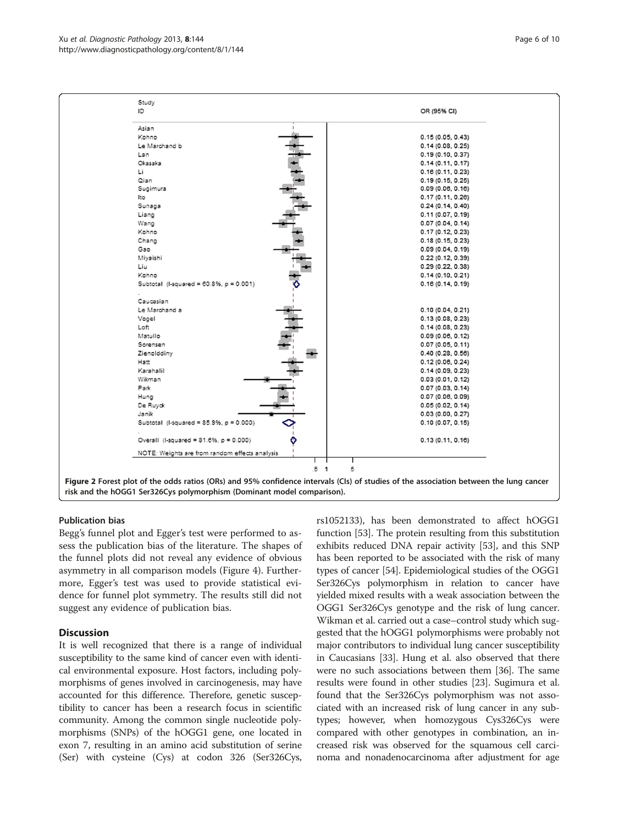<span id="page-5-0"></span>

#### Publication bias

Begg's funnel plot and Egger's test were performed to assess the publication bias of the literature. The shapes of the funnel plots did not reveal any evidence of obvious asymmetry in all comparison models (Figure [4](#page-6-0)). Furthermore, Egger's test was used to provide statistical evidence for funnel plot symmetry. The results still did not suggest any evidence of publication bias.

## **Discussion**

It is well recognized that there is a range of individual susceptibility to the same kind of cancer even with identical environmental exposure. Host factors, including polymorphisms of genes involved in carcinogenesis, may have accounted for this difference. Therefore, genetic susceptibility to cancer has been a research focus in scientific community. Among the common single nucleotide polymorphisms (SNPs) of the hOGG1 gene, one located in exon 7, resulting in an amino acid substitution of serine (Ser) with cysteine (Cys) at codon 326 (Ser326Cys,

rs1052133), has been demonstrated to affect hOGG1 function [\[53](#page-9-0)]. The protein resulting from this substitution exhibits reduced DNA repair activity [\[53](#page-9-0)], and this SNP has been reported to be associated with the risk of many types of cancer [[54\]](#page-9-0). Epidemiological studies of the OGG1 Ser326Cys polymorphism in relation to cancer have yielded mixed results with a weak association between the OGG1 Ser326Cys genotype and the risk of lung cancer. Wikman et al. carried out a case–control study which suggested that the hOGG1 polymorphisms were probably not major contributors to individual lung cancer susceptibility in Caucasians [\[33\]](#page-8-0). Hung et al. also observed that there were no such associations between them [[36](#page-8-0)]. The same results were found in other studies [\[23\]](#page-8-0). Sugimura et al. found that the Ser326Cys polymorphism was not associated with an increased risk of lung cancer in any subtypes; however, when homozygous Cys326Cys were compared with other genotypes in combination, an increased risk was observed for the squamous cell carcinoma and nonadenocarcinoma after adjustment for age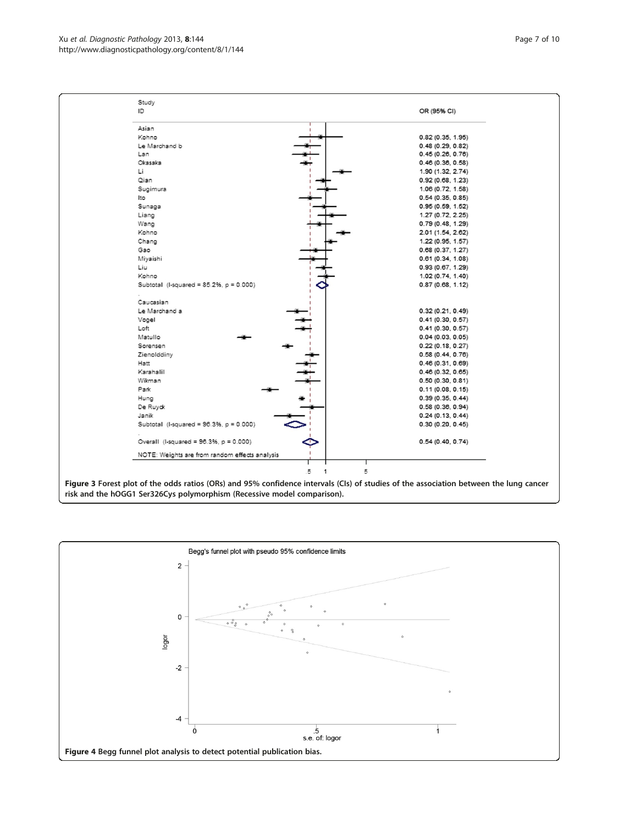<span id="page-6-0"></span>Xu et al. Diagnostic Pathology 2013, 8:144 Page 7 of 10 http://www.diagnosticpathology.org/content/8/1/144



risk and the hOGG1 Ser326Cys polymorphism (Recessive model comparison).

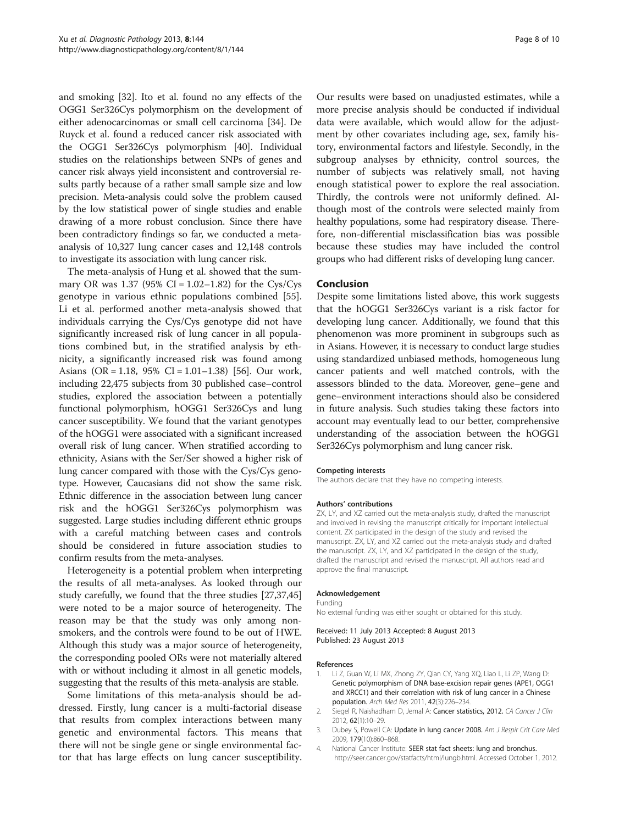<span id="page-7-0"></span>and smoking [[32\]](#page-8-0). Ito et al. found no any effects of the OGG1 Ser326Cys polymorphism on the development of either adenocarcinomas or small cell carcinoma [\[34](#page-8-0)]. De Ruyck et al. found a reduced cancer risk associated with the OGG1 Ser326Cys polymorphism [\[40\]](#page-8-0). Individual studies on the relationships between SNPs of genes and cancer risk always yield inconsistent and controversial results partly because of a rather small sample size and low precision. Meta-analysis could solve the problem caused by the low statistical power of single studies and enable drawing of a more robust conclusion. Since there have been contradictory findings so far, we conducted a metaanalysis of 10,327 lung cancer cases and 12,148 controls to investigate its association with lung cancer risk.

The meta-analysis of Hung et al. showed that the summary OR was 1.37 (95% CI =  $1.02 - 1.82$ ) for the Cys/Cys genotype in various ethnic populations combined [\[55](#page-9-0)]. Li et al. performed another meta-analysis showed that individuals carrying the Cys/Cys genotype did not have significantly increased risk of lung cancer in all populations combined but, in the stratified analysis by ethnicity, a significantly increased risk was found among Asians (OR = 1.18, 95% CI = 1.01–1.38) [\[56\]](#page-9-0). Our work, including 22,475 subjects from 30 published case–control studies, explored the association between a potentially functional polymorphism, hOGG1 Ser326Cys and lung cancer susceptibility. We found that the variant genotypes of the hOGG1 were associated with a significant increased overall risk of lung cancer. When stratified according to ethnicity, Asians with the Ser/Ser showed a higher risk of lung cancer compared with those with the Cys/Cys genotype. However, Caucasians did not show the same risk. Ethnic difference in the association between lung cancer risk and the hOGG1 Ser326Cys polymorphism was suggested. Large studies including different ethnic groups with a careful matching between cases and controls should be considered in future association studies to confirm results from the meta-analyses.

Heterogeneity is a potential problem when interpreting the results of all meta-analyses. As looked through our study carefully, we found that the three studies [\[27,37,45](#page-8-0)] were noted to be a major source of heterogeneity. The reason may be that the study was only among nonsmokers, and the controls were found to be out of HWE. Although this study was a major source of heterogeneity, the corresponding pooled ORs were not materially altered with or without including it almost in all genetic models, suggesting that the results of this meta-analysis are stable.

Some limitations of this meta-analysis should be addressed. Firstly, lung cancer is a multi-factorial disease that results from complex interactions between many genetic and environmental factors. This means that there will not be single gene or single environmental factor that has large effects on lung cancer susceptibility. Our results were based on unadjusted estimates, while a more precise analysis should be conducted if individual data were available, which would allow for the adjustment by other covariates including age, sex, family history, environmental factors and lifestyle. Secondly, in the subgroup analyses by ethnicity, control sources, the number of subjects was relatively small, not having enough statistical power to explore the real association. Thirdly, the controls were not uniformly defined. Although most of the controls were selected mainly from healthy populations, some had respiratory disease. Therefore, non-differential misclassification bias was possible because these studies may have included the control groups who had different risks of developing lung cancer.

#### Conclusion

Despite some limitations listed above, this work suggests that the hOGG1 Ser326Cys variant is a risk factor for developing lung cancer. Additionally, we found that this phenomenon was more prominent in subgroups such as in Asians. However, it is necessary to conduct large studies using standardized unbiased methods, homogeneous lung cancer patients and well matched controls, with the assessors blinded to the data. Moreover, gene–gene and gene–environment interactions should also be considered in future analysis. Such studies taking these factors into account may eventually lead to our better, comprehensive understanding of the association between the hOGG1 Ser326Cys polymorphism and lung cancer risk.

#### Competing interests

The authors declare that they have no competing interests.

#### Authors' contributions

ZX, LY, and XZ carried out the meta-analysis study, drafted the manuscript and involved in revising the manuscript critically for important intellectual content. ZX participated in the design of the study and revised the manuscript. ZX, LY, and XZ carried out the meta-analysis study and drafted the manuscript. ZX, LY, and XZ participated in the design of the study, drafted the manuscript and revised the manuscript. All authors read and approve the final manuscript.

#### Acknowledgement

Funding No external funding was either sought or obtained for this study.

Received: 11 July 2013 Accepted: 8 August 2013 Published: 23 August 2013

#### References

- Li Z, Guan W, Li MX, Zhong ZY, Qian CY, Yang XQ, Liao L, Li ZP, Wang D: Genetic polymorphism of DNA base-excision repair genes (APE1, OGG1 and XRCC1) and their correlation with risk of lung cancer in a Chinese population. Arch Med Res 2011, 42(3):226–234.
- 2. Siegel R, Naishadham D, Jemal A: Cancer statistics, 2012. CA Cancer J Clin 2012, 62(1):10–29.
- 3. Dubey S, Powell CA: Update in lung cancer 2008. Am J Respir Crit Care Med 2009, 179(10):860–868.
- 4. National Cancer Institute: SEER stat fact sheets: lung and bronchus. [http://seer.cancer.gov/statfacts/html/lungb.html.](http://seer.cancer.gov/statfacts/html/lungb.html) Accessed October 1, 2012.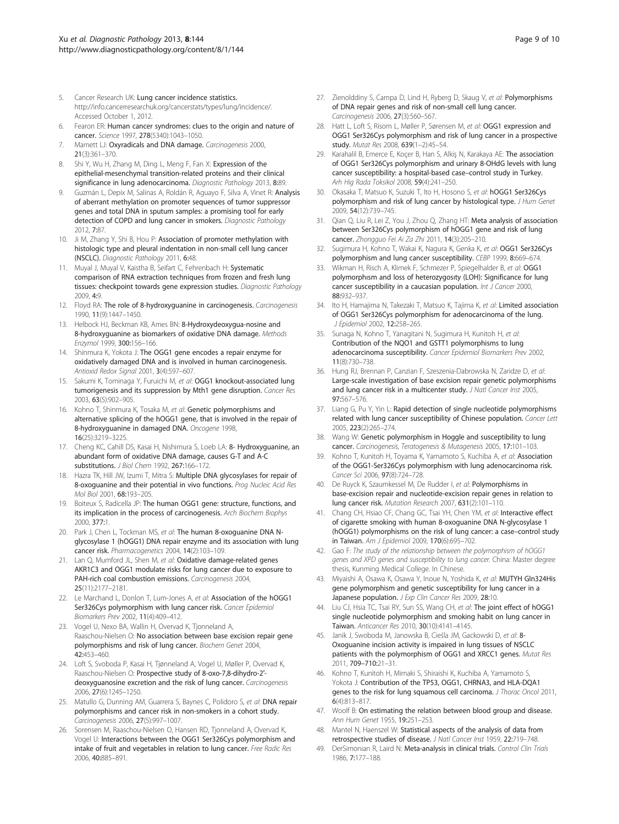- <span id="page-8-0"></span>5. Cancer Research UK: Lung cancer incidence statistics. [http://info.cancerresearchuk.org/cancerstats/types/lung/incidence/.](http://info.cancerresearchuk.org/cancerstats/types/lung/incidence/) Accessed October 1, 2012.
- 6. Fearon ER: Human cancer syndromes: clues to the origin and nature of cancer. Science 1997, 278(5340):1043–1050.
- 7. Marnett LJ: Oxyradicals and DNA damage. Carcinogenesis 2000, 21(3):361–370.
- 8. Shi Y, Wu H, Zhang M, Ding L, Meng F, Fan X: Expression of the epithelial-mesenchymal transition-related proteins and their clinical significance in lung adenocarcinoma. Diagnostic Pathology 2013, 8:89.
- Guzmán L, Depix M, Salinas A, Roldán R, Aguayo F, Silva A, Vinet R: Analysis of aberrant methylation on promoter sequences of tumor suppressor genes and total DNA in sputum samples: a promising tool for early detection of COPD and lung cancer in smokers. Diagnostic Pathology 2012, 7:87.
- 10. Ji M, Zhang Y, Shi B, Hou P: Association of promoter methylation with histologic type and pleural indentation in non-small cell lung cancer (NSCLC). Diagnostic Pathology 2011, 6:48.
- 11. Muyal J, Muyal V, Kaistha B, Seifart C, Fehrenbach H: Systematic comparison of RNA extraction techniques from frozen and fresh lung tissues: checkpoint towards gene expression studies. Diagnostic Pathology 2009, 4:9.
- 12. Floyd RA: The role of 8-hydroxyguanine in carcinogenesis. Carcinogenesis 1990, 11(9):1447–1450.
- 13. Helbock HJ, Beckman KB, Ames BN: 8-Hydroxydeoxygua-nosine and 8-hydroxyguanine as biomarkers of oxidative DNA damage. Methods Enzymol 1999, 300:156–166.
- 14. Shinmura K, Yokota J: The OGG1 gene encodes a repair enzyme for oxidatively damaged DNA and is involved in human carcinogenesis. Antioxid Redox Signal 2001, 3(4):597–607.
- 15. Sakumi K, Tominaga Y, Furuichi M, et al: OGG1 knockout-associated lung tumorigenesis and its suppression by Mth1 gene disruption. Cancer Res 2003, 63(5):902–905.
- 16. Kohno T, Shinmura K, Tosaka M, et al: Genetic polymorphisms and alternative splicing of the hOGG1 gene, that is involved in the repair of 8-hydroxyguanine in damaged DNA. Oncogene 1998, 16(25):3219–3225.
- 17. Cheng KC, Cahill DS, Kasai H, Nishimura S, Loeb LA: 8- Hydroxyguanine, an abundant form of oxidative DNA damage, causes G-T and A-C substitutions. J Biol Chem 1992, 267:166–172.
- 18. Hazra TK, Hill JW, Izumi T, Mitra S: Multiple DNA glycosylases for repair of 8-oxoguanine and their potential in vivo functions. Prog Nucleic Acid Res Mol Biol 2001, 68:193–205.
- 19. Boiteux S, Radicella JP: The human OGG1 gene: structure, functions, and its implication in the process of carcinogenesis. Arch Biochem Biophys 2000, 377:1.
- 20. Park J, Chen L, Tockman MS, et al: The human 8-oxoguanine DNA Nglycosylase 1 (hOGG1) DNA repair enzyme and its association with lung cancer risk. Pharmacogenetics 2004, 14(2):103–109.
- 21. Lan Q, Mumford JL, Shen M, et al: Oxidative damage-related genes AKR1C3 and OGG1 modulate risks for lung cancer due to exposure to PAH-rich coal combustion emissions. Carcinogenesis 2004, 25(11):2177–2181.
- 22. Le Marchand L, Donlon T, Lum-Jones A, et al: Association of the hOGG1 Ser326Cys polymorphism with lung cancer risk. Cancer Epidemiol Biomarkers Prev 2002, 11(4):409–412.
- 23. Vogel U, Nexo BA, Wallin H, Overvad K, Tjonneland A, Raaschou-Nielsen O: No association between base excision repair gene polymorphisms and risk of lung cancer. Biochem Genet 2004, 42:453–460.
- 24. Loft S, Svoboda P, Kasai H, Tjønneland A, Vogel U, Møller P, Overvad K, Raaschou-Nielsen O: Prospective study of 8-oxo-7,8-dihydro-2′ deoxyguanosine excretion and the risk of lung cancer. Carcinogenesis 2006, 27(6):1245–1250.
- 25. Matullo G, Dunning AM, Guarrera S, Baynes C, Polidoro S, et al: DNA repair polymorphisms and cancer risk in non-smokers in a cohort study. Carcinogenesis 2006, 27(5):997–1007.
- 26. Sorensen M, Raaschou-Nielsen O, Hansen RD, Tjonneland A, Overvad K, Vogel U: Interactions between the OGG1 Ser326Cys polymorphism and intake of fruit and vegetables in relation to lung cancer. Free Radic Res 2006, 40:885–891.
- 27. Zienolddiny S, Campa D, Lind H, Ryberg D, Skaug V, et al: Polymorphisms of DNA repair genes and risk of non-small cell lung cancer. Carcinogenesis 2006, 27(3):560–567.
- 28. Hatt L, Loft S, Risom L, Møller P, Sørensen M, et al: OGG1 expression and OGG1 Ser326Cys polymorphism and risk of lung cancer in a prospective study. Mutat Res 2008, 639(1–2):45–54.
- 29. Karahalil B, Emerce E, Koçer B, Han S, Alkiş N, Karakaya AE: The association of OGG1 Ser326Cys polymorphism and urinary 8-OHdG levels with lung cancer susceptibility: a hospital-based case–control study in Turkey. Arh Hig Rada Toksikol 2008, 59(4):241–250.
- 30. Okasaka T, Matsuo K, Suzuki T, Ito H, Hosono S, et al: hOGG1 Ser326Cys polymorphism and risk of lung cancer by histological type. J Hum Genet 2009, 54(12):739–745.
- 31. Qian Q, Liu R, Lei Z, You J, Zhou Q, Zhang HT: Meta analysis of association between Ser326Cys polymorphism of hOGG1 gene and risk of lung cancer. Zhongguo Fei Ai Za Zhi 2011, 14(3):205–210.
- 32. Sugimura H, Kohno T, Wakai K, Nagura K, Genka K, et al: OGG1 Ser326Cys polymorphism and lung cancer susceptibility. CEBP 1999, 8:669–674.
- 33. Wikman H, Risch A, Klimek F, Schmezer P, Spiegelhalder B, et al: OGG1 polymorphısm and loss of heterozygosıty (LOH): Significance for lung cancer susceptibility in a caucasian population. Int J Cancer 2000, 88:932–937.
- 34. Ito H, Hamajima N, Takezaki T, Matsuo K, Tajima K, et al: Limited association of OGG1 Ser326Cys polymorphism for adenocarcinoma of the lung. J Epidemiol 2002, 12:258–265.
- 35. Sunaga N, Kohno T, Yanagitani N, Sugimura H, Kunitoh H, et al: Contribution of the NQO1 and GSTT1 polymorphisms to lung adenocarcinoma susceptibility. Cancer Epidemiol Biomarkers Prev 2002, 11(8):730–738.
- 36. Hung RJ, Brennan P, Canzian F, Szeszenia-Dabrowska N, Zaridze D, et al: Large-scale investigation of base excision repair genetic polymorphisms and lung cancer risk in a multicenter study. J Natl Cancer Inst 2005, 97:567–576.
- 37. Liang G, Pu Y, Yin L: Rapid detection of single nucleotide polymorphisms related with lung cancer susceptibility of Chinese population. Cancer Lett 2005, 223(2):265–274.
- 38. Wang W: Genetic polymorphism in Hoggle and susceptibility to lung cancer. Carcinogenesis, Teratogenesis & Mutagenesis 2005, 17:101–103.
- 39. Kohno T, Kunitoh H, Toyama K, Yamamoto S, Kuchiba A, et al: Association of the OGG1-Ser326Cys polymorphism with lung adenocarcinoma risk. Cancer Sci 2006, 97(8):724–728.
- 40. De Ruyck K, Szaumkessel M, De Rudder I, et al: Polymorphisms in base-excision repair and nucleotide-excision repair genes in relation to lung cancer risk. Mutation Research 2007, 631(2):101–110.
- 41. Chang CH, Hsiao CF, Chang GC, Tsai YH, Chen YM, et al: Interactive effect of cigarette smoking with human 8-oxoguanine DNA N-glycosylase 1 (hOGG1) polymorphisms on the risk of lung cancer: a case–control study in Taiwan. Am J Epidemiol 2009, 170(6):695–702.
- 42. Gao F: The study of the relationship between the polymorphism of hOGG1 genes and XPD genes and susceptibility to lung cancer. China: Master degree thesis, Kunming Medical College. In Chinese.
- 43. Miyaishi A, Osawa K, Osawa Y, Inoue N, Yoshida K, et al: MUTYH Gln324His gene polymorphism and genetic susceptibility for lung cancer in a Japanese population. J Exp Clin Cancer Res 2009, 28:10.
- 44. Liu CJ, Hsia TC, Tsai RY, Sun SS, Wang CH, et al: The joint effect of hOGG1 single nucleotide polymorphism and smoking habit on lung cancer in Taiwan. Anticancer Res 2010, 30(10):4141-4145.
- 45. Janik J, Swoboda M, Janowska B, Cieśla JM, Gackowski D, et al: 8- Oxoguanine incision activity is impaired in lung tissues of NSCLC patients with the polymorphism of OGG1 and XRCC1 genes. Mutat Res 2011, 709–710:21–31.
- 46. Kohno T, Kunitoh H, Mimaki S, Shiraishi K, Kuchiba A, Yamamoto S, Yokota J: Contribution of the TP53, OGG1, CHRNA3, and HLA-DQA1 genes to the risk for lung squamous cell carcinoma. J Thorac Oncol 2011, 6(4):813–817.
- 47. Woolf B: On estimating the relation between blood group and disease. Ann Hum Genet 1955, 19:251–253.
- 48. Mantel N, Haenszel W: Statistical aspects of the analysis of data from retrospective studies of disease. J Natl Cancer Inst 1959, 22:719–748.
- 49. DerSimonian R, Laird N: Meta-analysis in clinical trials. Control Clin Trials 1986, 7:177–188.